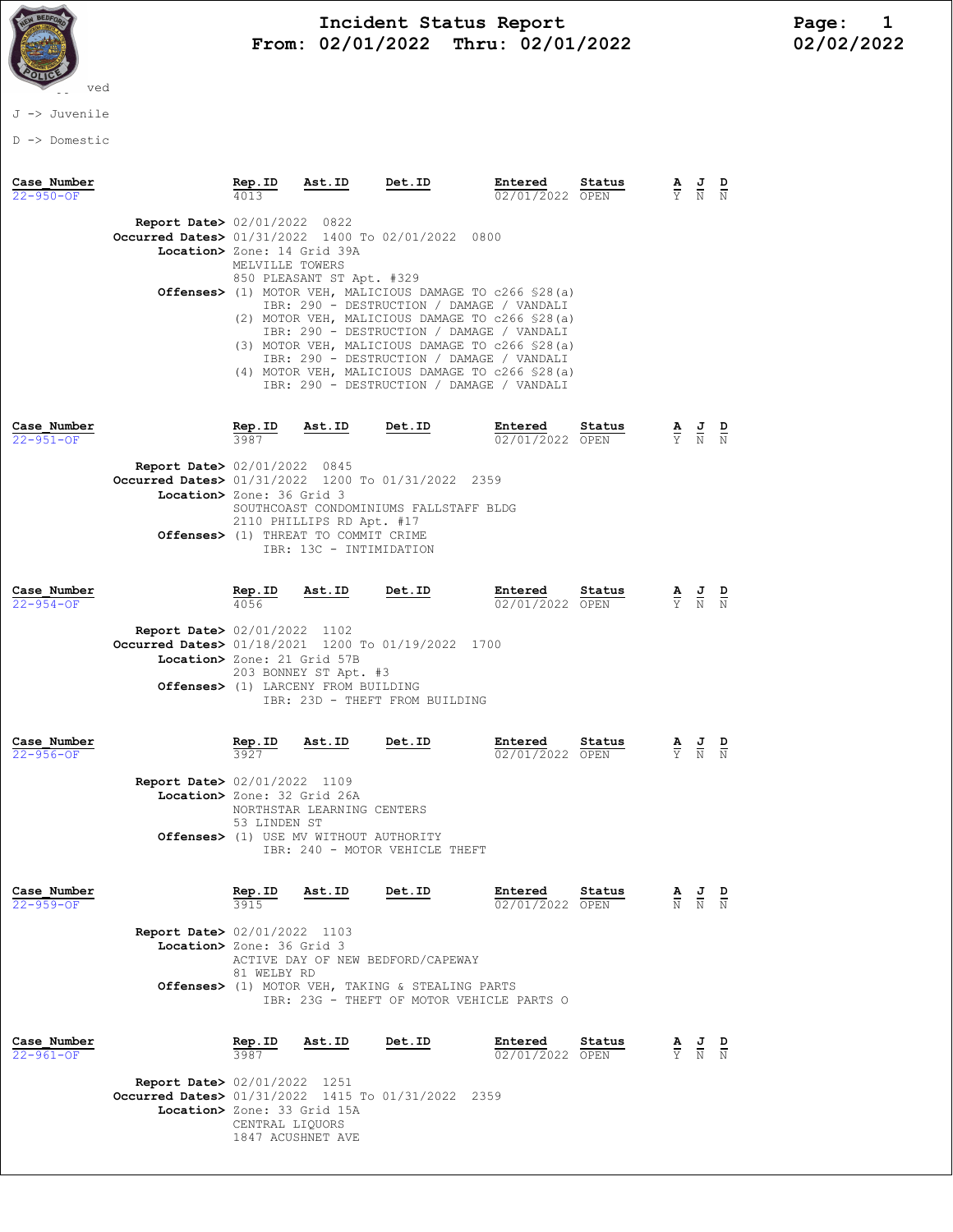

## Incident Status Report<br>02/01/2022 Thru: 02/01/2022 102/02/2022 From:  $02/01/2022$  Thru:  $02/01/2022$

J -> Juvenile

D -> Domestic

| Case Number<br>$22 - 950 - OF$ |                                                                                                                             |                                                                                                                                                                                                                                                                     | $\frac{\text{Rep. ID}}{4013}$ Ast. ID Det. ID                                                                                                                                                                                 |               | Entered<br>02/01/2022 OPEN                                                                                                                                                                                                                                                                                                                                                                             | Status         |                                 | $\frac{\mathbf{A}}{\mathbf{Y}}$ $\frac{\mathbf{J}}{\mathbf{N}}$ $\frac{\mathbf{D}}{\mathbf{N}}$ |  |  |
|--------------------------------|-----------------------------------------------------------------------------------------------------------------------------|---------------------------------------------------------------------------------------------------------------------------------------------------------------------------------------------------------------------------------------------------------------------|-------------------------------------------------------------------------------------------------------------------------------------------------------------------------------------------------------------------------------|---------------|--------------------------------------------------------------------------------------------------------------------------------------------------------------------------------------------------------------------------------------------------------------------------------------------------------------------------------------------------------------------------------------------------------|----------------|---------------------------------|-------------------------------------------------------------------------------------------------|--|--|
|                                | <b>Report Date&gt; 02/01/2022 0822</b><br>Occurred Dates> 01/31/2022 1400 To 02/01/2022 0800<br>Location> Zone: 14 Grid 39A | MELVILLE TOWERS                                                                                                                                                                                                                                                     | 850 PLEASANT ST Apt. #329                                                                                                                                                                                                     |               | Offenses> (1) MOTOR VEH, MALICIOUS DAMAGE TO c266 \$28(a)<br>IBR: 290 - DESTRUCTION / DAMAGE / VANDALI<br>(2) MOTOR VEH, MALICIOUS DAMAGE TO c266 \$28(a)<br>IBR: 290 - DESTRUCTION / DAMAGE / VANDALI<br>(3) MOTOR VEH, MALICIOUS DAMAGE TO c266 \$28(a)<br>IBR: 290 - DESTRUCTION / DAMAGE / VANDALI<br>(4) MOTOR VEH, MALICIOUS DAMAGE TO c266 \$28(a)<br>IBR: 290 - DESTRUCTION / DAMAGE / VANDALI |                |                                 |                                                                                                 |  |  |
| Case Number<br>22-951-OF       |                                                                                                                             | Rep.ID<br>3987                                                                                                                                                                                                                                                      | Ast.ID Det.ID                                                                                                                                                                                                                 |               | Entered<br>02/01/2022 OPEN                                                                                                                                                                                                                                                                                                                                                                             | <u>Status</u>  |                                 | $\frac{\mathbf{A}}{\mathbf{Y}}$ $\frac{\mathbf{J}}{\mathbf{N}}$ $\frac{\mathbf{D}}{\mathbf{N}}$ |  |  |
|                                |                                                                                                                             | <b>Report Date&gt;</b> 02/01/2022 0845<br>Occurred Dates> 01/31/2022 1200 To 01/31/2022 2359<br>Location> Zone: 36 Grid 3<br>SOUTHCOAST CONDOMINIUMS FALLSTAFF BLDG<br>2110 PHILLIPS RD Apt. #17<br>Offenses> (1) THREAT TO COMMIT CRIME<br>IBR: 13C - INTIMIDATION |                                                                                                                                                                                                                               |               |                                                                                                                                                                                                                                                                                                                                                                                                        |                |                                 |                                                                                                 |  |  |
| Case Number<br>$22 - 954 - 0F$ |                                                                                                                             |                                                                                                                                                                                                                                                                     | <b>Rep. ID</b> $Ast.ID$ <b>Det. ID</b><br>4056                                                                                                                                                                                |               | Entered<br>02/01/2022 OPEN                                                                                                                                                                                                                                                                                                                                                                             | Status         |                                 | $\frac{\mathbf{A}}{\mathbf{Y}}$ $\frac{\mathbf{J}}{\mathbf{N}}$ $\frac{\mathbf{D}}{\mathbf{N}}$ |  |  |
|                                |                                                                                                                             |                                                                                                                                                                                                                                                                     | <b>Report Date&gt;</b> 02/01/2022 1102<br>Occurred Dates> 01/18/2021 1200 To 01/19/2022 1700<br>Location> Zone: 21 Grid 57B<br>203 BONNEY ST Apt. #3<br>Offenses> (1) LARCENY FROM BUILDING<br>IBR: 23D - THEFT FROM BUILDING |               |                                                                                                                                                                                                                                                                                                                                                                                                        |                |                                 |                                                                                                 |  |  |
| Case Number<br>$22 - 956 - OF$ |                                                                                                                             |                                                                                                                                                                                                                                                                     | $\frac{\text{Rep. ID}}{3927}$ Ast.ID                                                                                                                                                                                          |               | Entered<br>02/01/2022 OPEN                                                                                                                                                                                                                                                                                                                                                                             | Status         |                                 | $\frac{\mathbf{A}}{\mathbf{Y}}$ $\frac{\mathbf{J}}{\mathbf{N}}$ $\frac{\mathbf{D}}{\mathbf{N}}$ |  |  |
|                                |                                                                                                                             |                                                                                                                                                                                                                                                                     | <b>Report Date&gt; 02/01/2022 1109</b><br>Location> Zone: 32 Grid 26A<br>NORTHSTAR LEARNING CENTERS<br>53 LINDEN ST<br>Offenses> (1) USE MV WITHOUT AUTHORITY<br>IBR: 240 - MOTOR VEHICLE THEFT                               |               |                                                                                                                                                                                                                                                                                                                                                                                                        |                |                                 |                                                                                                 |  |  |
| Case Number<br>22-959-OF       |                                                                                                                             | Rep.ID<br>3915                                                                                                                                                                                                                                                      | Ast.ID                                                                                                                                                                                                                        | <b>Det.ID</b> | Entered<br>02/01/2022                                                                                                                                                                                                                                                                                                                                                                                  | Status<br>OPEN | $\frac{\mathbf{A}}{\mathrm{N}}$ | $\frac{1}{N}$                                                                                   |  |  |
|                                |                                                                                                                             | <b>Report Date&gt;</b> 02/01/2022 1103<br>Location> Zone: 36 Grid 3<br>ACTIVE DAY OF NEW BEDFORD/CAPEWAY<br>81 WELBY RD<br>Offenses> (1) MOTOR VEH, TAKING & STEALING PARTS<br>IBR: 23G - THEFT OF MOTOR VEHICLE PARTS O                                            |                                                                                                                                                                                                                               |               |                                                                                                                                                                                                                                                                                                                                                                                                        |                |                                 |                                                                                                 |  |  |
| Case Number<br>22-961-OF       |                                                                                                                             | Rep.ID<br>3987                                                                                                                                                                                                                                                      | Ast.ID                                                                                                                                                                                                                        | Det.ID        | Entered<br>02/01/2022 OPEN                                                                                                                                                                                                                                                                                                                                                                             | Status         |                                 | $\frac{\mathbf{A}}{\mathbf{Y}}$ $\frac{\mathbf{J}}{\mathbf{N}}$                                 |  |  |
|                                | Report Date> $02/01/2022$<br>Occurred Dates> $01/31/2022$ 1415 To $01/31/2022$<br>Location> Zone: 33 Grid 15A               |                                                                                                                                                                                                                                                                     | 1251                                                                                                                                                                                                                          |               | 2359                                                                                                                                                                                                                                                                                                                                                                                                   |                |                                 |                                                                                                 |  |  |

 CENTRAL LIQUORS 1847 ACUSHNET AVE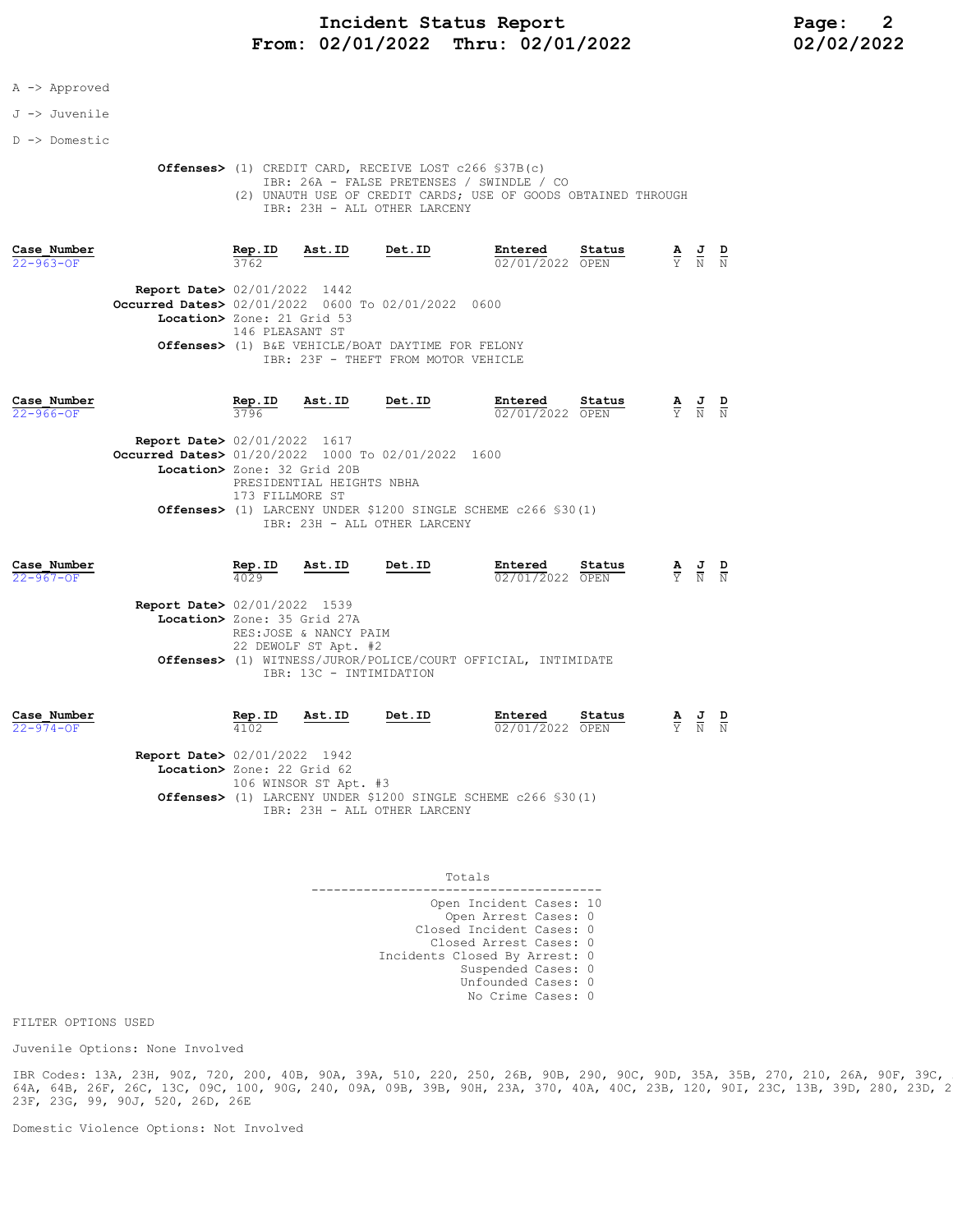### Incident Status Report Page: 2 From: 02/01/2022 Thru: 02/01/2022 02/02/2022

### A -> Approved

#### J -> Juvenile

D -> Domestic

 Offenses> (1) CREDIT CARD, RECEIVE LOST c266 §37B(c) IBR: 26A - FALSE PRETENSES / SWINDLE / CO (2) UNAUTH USE OF CREDIT CARDS; USE OF GOODS OBTAINED THROUGH IBR: 23H - ALL OTHER LARCENY

| Case Number<br>$22 - 963 - OF$ |                                                                                                                            | Rep.ID<br>3762                                                                                                                                                                                                                                                                         | Ast.ID                | Det.ID                                                                                   | Entered<br>02/01/2022 | Status<br>OPEN | $\frac{\mathbf{A}}{\mathbf{Y}}$ | $\frac{J}{N}$               | $\frac{D}{N}$ |
|--------------------------------|----------------------------------------------------------------------------------------------------------------------------|----------------------------------------------------------------------------------------------------------------------------------------------------------------------------------------------------------------------------------------------------------------------------------------|-----------------------|------------------------------------------------------------------------------------------|-----------------------|----------------|---------------------------------|-----------------------------|---------------|
|                                | <b>Report Date&gt; 02/01/2022 1442</b><br>Occurred Dates> 02/01/2022 0600 To 02/01/2022 0600<br>Location> Zone: 21 Grid 53 | 146 PLEASANT ST                                                                                                                                                                                                                                                                        |                       | Offenses> (1) B&E VEHICLE/BOAT DAYTIME FOR FELONY<br>IBR: 23F - THEFT FROM MOTOR VEHICLE |                       |                |                                 |                             |               |
| Case Number<br>$22 - 966 - OF$ |                                                                                                                            | Rep.ID<br>3796                                                                                                                                                                                                                                                                         | Ast.ID                | Det.ID                                                                                   | Entered<br>02/01/2022 | Status<br>OPEN | $\frac{\mathbf{A}}{\mathbf{Y}}$ | $\frac{J}{N}$ $\frac{D}{N}$ |               |
|                                |                                                                                                                            | <b>Report Date&gt; 02/01/2022 1617</b><br>Occurred Dates> 01/20/2022 1000 To 02/01/2022 1600<br>Location> Zone: 32 Grid 20B<br>PRESIDENTIAL HEIGHTS NBHA<br>173 FILLMORE ST<br><b>Offenses&gt;</b> (1) LARCENY UNDER \$1200 SINGLE SCHEME c266 \$30(1)<br>IBR: 23H - ALL OTHER LARCENY |                       |                                                                                          |                       |                |                                 |                             |               |
| Case Number<br>$22 - 967 - 0F$ |                                                                                                                            | Rep.ID<br>4029                                                                                                                                                                                                                                                                         | Ast.ID                | Det.ID                                                                                   | Entered<br>02/01/2022 | Status<br>OPEN | $\frac{\mathbf{A}}{\mathbf{Y}}$ | $\frac{1}{N}$               | $\frac{D}{N}$ |
|                                | <b>Report Date&gt; 02/01/2022 1539</b><br>Location> Zone: 35 Grid 27A                                                      |                                                                                                                                                                                                                                                                                        | RES:JOSE & NANCY PAIM |                                                                                          |                       |                |                                 |                             |               |

| Case Number     |                                        | Rep.ID                     | Ast.ID                | Det.ID | Entered                                                                 | Status |  |                                                                                                 |  |
|-----------------|----------------------------------------|----------------------------|-----------------------|--------|-------------------------------------------------------------------------|--------|--|-------------------------------------------------------------------------------------------------|--|
| $22 - 974 - 0F$ |                                        | 4102                       |                       |        | 02/01/2022 OPEN                                                         |        |  | $\frac{\mathbf{A}}{\mathbf{Y}}$ $\frac{\mathbf{J}}{\mathbf{N}}$ $\frac{\mathbf{D}}{\mathbf{N}}$ |  |
|                 | <b>Report Date&gt;</b> 02/01/2022 1942 |                            |                       |        |                                                                         |        |  |                                                                                                 |  |
|                 |                                        | Location> Zone: 22 Grid 62 |                       |        |                                                                         |        |  |                                                                                                 |  |
|                 |                                        |                            | 106 WINSOR ST Apt. #3 |        |                                                                         |        |  |                                                                                                 |  |
|                 |                                        |                            |                       |        | <b>Offenses&gt;</b> (1) LARCENY UNDER \$1200 SINGLE SCHEME c266 \$30(1) |        |  |                                                                                                 |  |

IBR: 23H - ALL OTHER LARCENY

IBR: 13C - INTIMIDATION

Offenses> (1) WITNESS/JUROR/POLICE/COURT OFFICIAL, INTIMIDATE

 Totals --------------------------------------- Open Incident Cases: 10 Open Arrest Cases: 0 Closed Incident Cases: 0 Closed Arrest Cases: 0 Incidents Closed By Arrest: 0 Suspended Cases: 0 Unfounded Cases: 0 No Crime Cases: 0

FILTER OPTIONS USED

Juvenile Options: None Involved

IBR Codes: 13A, 23H, 90Z, 720, 200, 40B, 90A, 39A, 510, 220, 250, 26B, 90B, 290, 90C, 90D, 35A, 35B, 270, 210, 26A, 90F, 39C, 26G, 64A, 64B, 26F, 26C, 13C, 09C, 100, 90G, 240, 09A, 09B, 39B, 90H, 23A, 370, 40A, 40C, 23B, 120, 90I, 23C, 13B, 39D, 280, 23D, 23E, 23F, 23G, 99, 90J, 520, 26D, 26E

Domestic Violence Options: Not Involved

22 DEWOLF ST Apt. #2